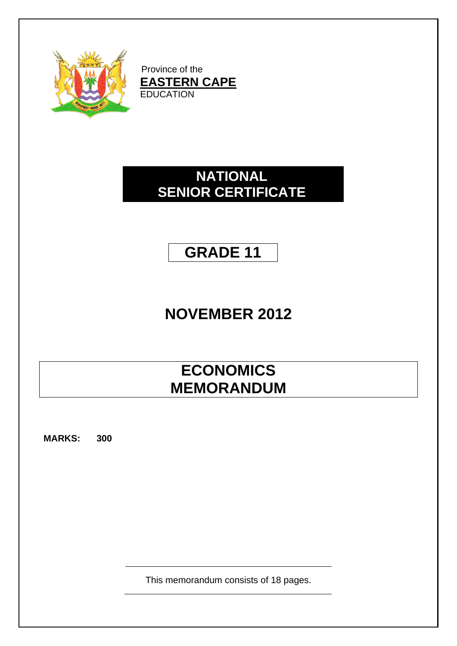

Province of the **EASTERN CAPE** EDUCATION

# **NATIONAL SENIOR CERTIFICATE**

# **GRADE 11**

# **NOVEMBER 2012**

# **ECONOMICS MEMORANDUM**

**MARKS: 300**

This memorandum consists of 18 pages.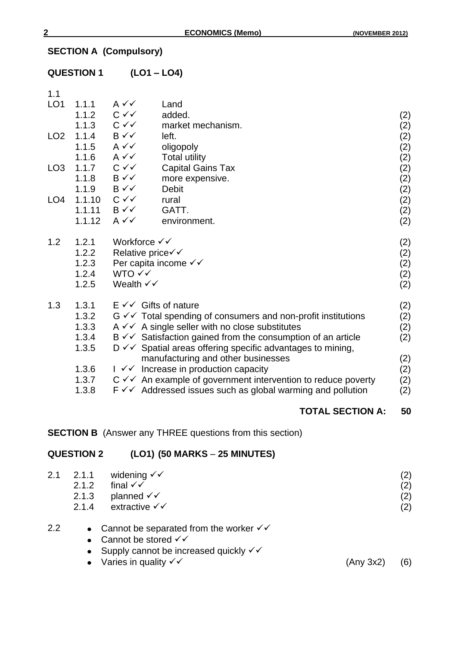# **SECTION A (Compulsory)**

|                 | <b>QUESTION 1</b>              |                                         | $(LO1 - LO4)$                                                                                                                               |            |
|-----------------|--------------------------------|-----------------------------------------|---------------------------------------------------------------------------------------------------------------------------------------------|------------|
| 1.1             |                                |                                         |                                                                                                                                             |            |
| LO <sub>1</sub> | 1.1.1<br>1.1.2                 | $A \vee C$<br>$C \vee C$                | Land<br>added.                                                                                                                              |            |
|                 | 1.1.3 $C \checkmark$           |                                         | market mechanism.                                                                                                                           | (2)<br>(2) |
| LO <sub>2</sub> | 1.1.4 $B \checkmark$           |                                         | left.                                                                                                                                       | (2)        |
|                 | 1.1.5 $A \checkmark$           |                                         | oligopoly                                                                                                                                   | (2)        |
|                 | 1.1.6 $A \vee C$               |                                         | <b>Total utility</b>                                                                                                                        | (2)        |
| LO <sub>3</sub> | 1.1.7 $C \checkmark$           |                                         | <b>Capital Gains Tax</b>                                                                                                                    | (2)        |
|                 | 1.1.8                          | $B \vee \vee$                           | more expensive.                                                                                                                             | (2)        |
| LO <sub>4</sub> | 1.1.9<br>1.1.10 $C \checkmark$ | $B \vee \vee$                           | <b>Debit</b><br>rural                                                                                                                       | (2)        |
|                 | 1.1.11                         | $B \vee \vee$                           | GATT.                                                                                                                                       | (2)<br>(2) |
|                 | 1.1.12                         | $A \vee C$                              | environment.                                                                                                                                | (2)        |
| 1.2             | 1.2.1                          | Workforce $\checkmark$                  |                                                                                                                                             | (2)        |
|                 | 1.2.2                          | Relative price√√                        |                                                                                                                                             | (2)        |
|                 | 1.2.3                          |                                         | Per capita income $\checkmark\checkmark$                                                                                                    | (2)        |
|                 | 1.2.4<br>1.2.5                 | WTO √√<br>Wealth $\checkmark\checkmark$ |                                                                                                                                             | (2)        |
|                 |                                |                                         |                                                                                                                                             | (2)        |
| 1.3             | 1.3.1                          |                                         | $E \vee \vee$ Gifts of nature                                                                                                               | (2)        |
|                 | 1.3.2                          |                                         | $G \vee \vee$ Total spending of consumers and non-profit institutions                                                                       | (2)        |
|                 | 1.3.3                          |                                         | $A \vee A$ single seller with no close substitutes                                                                                          | (2)        |
|                 | 1.3.4<br>1.3.5                 |                                         | $B \vee \vee$ Satisfaction gained from the consumption of an article<br>$D \vee \vee$ Spatial areas offering specific advantages to mining, | (2)        |
|                 |                                |                                         | manufacturing and other businesses                                                                                                          | (2)        |
|                 | 1.3.6                          |                                         | $I \checkmark$ Increase in production capacity                                                                                              | (2)        |
|                 | 1.3.7                          |                                         | $C \vee C$ An example of government intervention to reduce poverty                                                                          | (2)        |
|                 | 1.3.8                          |                                         | $F \vee \vee$ Addressed issues such as global warming and pollution                                                                         | (2)        |
|                 |                                |                                         |                                                                                                                                             |            |

# **TOTAL SECTION A: 50**

**SECTION B** (Answer any THREE questions from this section)

# **QUESTION 2 (LO1) (50 MARKS** – **25 MINUTES)**

| 2.1 | 2.1.1     | widening $\checkmark$                                        |           | (2) |
|-----|-----------|--------------------------------------------------------------|-----------|-----|
|     | 2.1.2     | final $\checkmark\checkmark$                                 |           | (2) |
|     | 2.1.3     | planned $\checkmark$                                         |           | (2) |
|     | 2.1.4     | extractive √√                                                |           | (2) |
| 2.2 |           | • Cannot be separated from the worker $\checkmark\checkmark$ |           |     |
|     | $\bullet$ | Cannot be stored $\checkmark\checkmark$                      |           |     |
|     | $\bullet$ | Supply cannot be increased quickly √√                        |           |     |
|     |           | • Varies in quality $\checkmark\checkmark$                   | (Any 3x2) | (6) |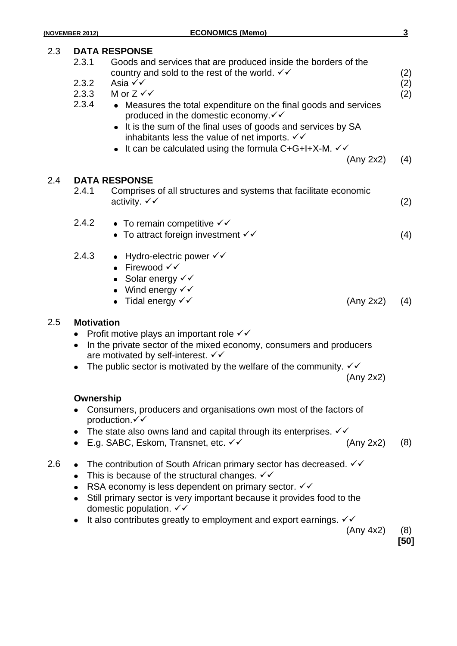# 2.3 **DATA RESPONSE** 2.3.1 Goods and services that are produced inside the borders of the country and sold to the rest of the world.  $\checkmark$  (2) 2.3.2 Asia ✓✓ (2) 2.3.3 M or  $Z \checkmark$  (2) 2.3.4 Measures the total expenditure on the final goods and services produced in the domestic economy. $\checkmark\checkmark$ • It is the sum of the final uses of goods and services by SA inhabitants less the value of net imports.  $\checkmark\checkmark$  $\bullet$  It can be calculated using the formula C+G+I+X-M.  $\checkmark\checkmark$ (Any 2x2) (4) 2.4 **DATA RESPONSE** 2.4.1 Comprises of all structures and systems that facilitate economic  $\alpha$ ctivity.  $\checkmark$  (2) 2.4.2 • To remain competitive  $\checkmark\checkmark$ • To attract foreign investment  $\checkmark$  (4) (4) 2.4.3 • Hydro-electric power  $\checkmark\checkmark$ • Firewood  $\checkmark\checkmark$ • Solar energy  $\checkmark\checkmark$ • Wind energy  $\checkmark\checkmark$ • Tidal energy  $\checkmark$  (Any 2x2) (4) 2.5 **Motivation** • Profit motive plays an important role  $\checkmark\checkmark$ • In the private sector of the mixed economy, consumers and producers are motivated by self-interest.  $\checkmark\checkmark$ • The public sector is motivated by the welfare of the community.  $\checkmark\checkmark$ (Any 2x2) **Ownership**

- Consumers, producers and organisations own most of the factors of production.  $\checkmark\checkmark$
- The state also owns land and capital through its enterprises.  $\checkmark\checkmark$
- E.g. SABC, Eskom, Transnet, etc.  $\checkmark$  (Any 2x2) (8)
- 2.6 The contribution of South African primary sector has decreased.  $\checkmark\checkmark$ 
	- This is because of the structural changes.  $\checkmark\checkmark$
	- RSA economy is less dependent on primary sector.  $\checkmark\checkmark$
	- Still primary sector is very important because it provides food to the domestic population.  $\checkmark\checkmark$
	- It also contributes greatly to employment and export earnings.  $\checkmark\checkmark$

(Any 4x2) (8)

**[50]**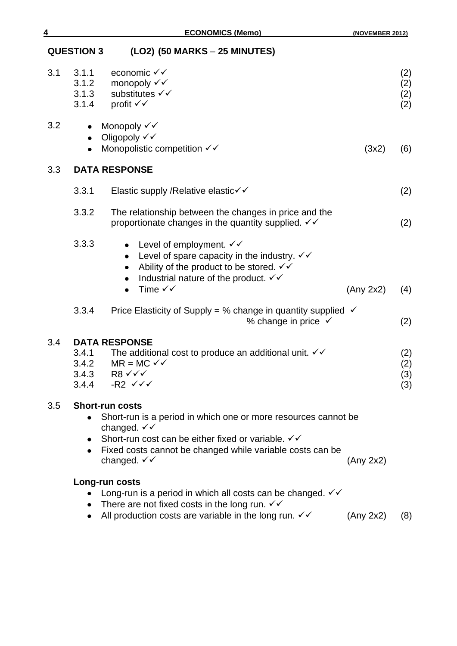| <b>QUESTION 3</b> | (LO2) (50 MARKS – 25 MINUTES) |  |
|-------------------|-------------------------------|--|
|-------------------|-------------------------------|--|

| 3.1 | 3.1.1<br>3.1.2                      | economic $\checkmark\checkmark$<br>monopoly $\checkmark\checkmark$                                                                                                                                                                                                        |           | (2)<br>(2)        |
|-----|-------------------------------------|---------------------------------------------------------------------------------------------------------------------------------------------------------------------------------------------------------------------------------------------------------------------------|-----------|-------------------|
|     | 3.1.3<br>3.1.4                      | substitutes √√<br>profit √√                                                                                                                                                                                                                                               |           | (2)<br>(2)        |
| 3.2 | $\bullet$<br>$\bullet$<br>$\bullet$ | Monopoly √√<br>Oligopoly √√<br>Monopolistic competition $\checkmark\checkmark$                                                                                                                                                                                            | (3x2)     | (6)               |
| 3.3 |                                     | <b>DATA RESPONSE</b>                                                                                                                                                                                                                                                      |           |                   |
|     | 3.3.1                               | Elastic supply /Relative elastic√√                                                                                                                                                                                                                                        |           | (2)               |
|     | 3.3.2                               | The relationship between the changes in price and the<br>proportionate changes in the quantity supplied. $\checkmark\checkmark$                                                                                                                                           |           | (2)               |
|     | 3.3.3                               | Level of employment. $\checkmark\checkmark$<br>$\bullet$<br>Level of spare capacity in the industry. $\checkmark\checkmark$<br>$\bullet$<br>Ability of the product to be stored. $\checkmark\checkmark$<br>$\bullet$<br>Industrial nature of the product. √√<br>$\bullet$ |           |                   |
|     |                                     | Time $\checkmark\checkmark$                                                                                                                                                                                                                                               | (Any 2x2) | (4)               |
|     | 3.3.4                               | Price Elasticity of Supply = $\frac{9}{6}$ change in quantity supplied $\checkmark$<br>% change in price $\checkmark$                                                                                                                                                     |           | (2)               |
| 3.4 |                                     | <b>DATA RESPONSE</b>                                                                                                                                                                                                                                                      |           |                   |
|     | 3.4.1<br>3.4.2                      | The additional cost to produce an additional unit. $\checkmark\checkmark$<br>$MR = MC \checkmark$                                                                                                                                                                         |           | (2)               |
|     | 3.4.4                               | 3.4.3 R8 $\checkmark$<br>-R2 $\checkmark\checkmark$                                                                                                                                                                                                                       |           | (2)<br>(3)<br>(3) |
| 3.5 |                                     | <b>Short-run costs</b>                                                                                                                                                                                                                                                    |           |                   |
|     |                                     | Short-run is a period in which one or more resources cannot be<br>changed. $\checkmark$                                                                                                                                                                                   |           |                   |
|     | $\bullet$                           | Short-run cost can be either fixed or variable. V V                                                                                                                                                                                                                       |           |                   |
|     | $\bullet$                           | Fixed costs cannot be changed while variable costs can be<br>changed. $\checkmark\checkmark$                                                                                                                                                                              | (Any 2x2) |                   |
|     |                                     | Long-run costs                                                                                                                                                                                                                                                            |           |                   |
|     |                                     | Long-run is a period in which all costs can be changed. $\checkmark\checkmark$                                                                                                                                                                                            |           |                   |
|     | $\bullet$                           | There are not fixed costs in the long run. $\checkmark\checkmark$<br>All production costs are variable in the long run. $\checkmark\checkmark$                                                                                                                            | (Any 2x2) | (8)               |
|     |                                     |                                                                                                                                                                                                                                                                           |           |                   |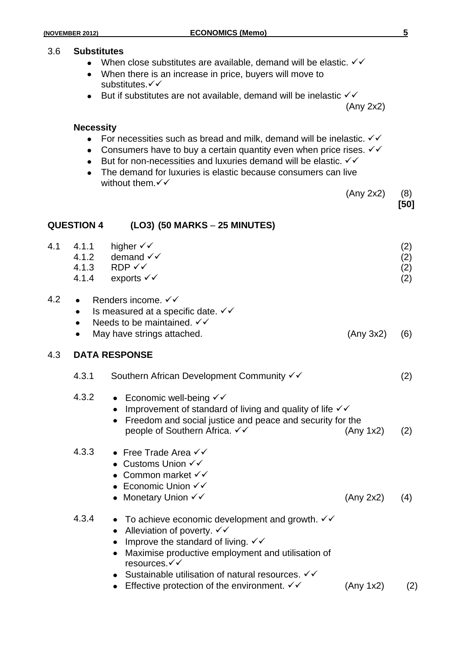#### 3.6 **Substitutes**

- When close substitutes are available, demand will be elastic.  $\checkmark\checkmark$
- When there is an increase in price, buyers will move to substitutes. $\checkmark\checkmark$
- $\bullet$  But if substitutes are not available, demand will be inelastic  $\checkmark$

(Any 2x2)

#### **Necessity**

- For necessities such as bread and milk, demand will be inelastic.  $\checkmark\checkmark$
- Consumers have to buy a certain quantity even when price rises.  $\checkmark\checkmark$
- $\bullet$  But for non-necessities and luxuries demand will be elastic.  $\checkmark\checkmark$
- The demand for luxuries is elastic because consumers can live without them. $\checkmark\checkmark$

**QUESTION 4 (LO3) (50 MARKS** – **25 MINUTES)**

(Any 2x2) (8)

**[50]**

| 4.1 | 4.1.1<br>4.1.2                                   | higher $\checkmark\checkmark$<br>demand $\checkmark\checkmark$<br>$4.1.3$ RDP $\checkmark\checkmark$<br>4.1.4 exports $\checkmark\checkmark$                                                                                                                                                                                                              | (2)<br>(2)<br>(2)<br>(2) |
|-----|--------------------------------------------------|-----------------------------------------------------------------------------------------------------------------------------------------------------------------------------------------------------------------------------------------------------------------------------------------------------------------------------------------------------------|--------------------------|
| 4.2 | $\bullet$<br>$\bullet$<br>$\bullet$<br>$\bullet$ | Renders income. ✓✓<br>Is measured at a specific date. √√<br>Needs to be maintained. √√<br>May have strings attached.<br>(Any 3x2)                                                                                                                                                                                                                         | (6)                      |
| 4.3 |                                                  | <b>DATA RESPONSE</b>                                                                                                                                                                                                                                                                                                                                      |                          |
|     | 4.3.1                                            | Southern African Development Community √√                                                                                                                                                                                                                                                                                                                 | (2)                      |
|     | 4.3.2                                            | • Economic well-being $\checkmark\checkmark$<br>Improvement of standard of living and quality of life √√<br>Freedom and social justice and peace and security for the<br>people of Southern Africa. V V<br>(Any 1x2)                                                                                                                                      | (2)                      |
|     | 4.3.3                                            | • Free Trade Area $\checkmark\checkmark$<br>● Customs Union $\checkmark\checkmark$<br>• Common market $\checkmark\checkmark$<br>• Economic Union $\checkmark\checkmark$<br>• Monetary Union $\checkmark\checkmark$<br>(Any 2x2)                                                                                                                           | (4)                      |
|     | 4.3.4                                            | • To achieve economic development and growth. $\checkmark\checkmark$<br>Alleviation of poverty. $\checkmark\checkmark$<br>$\bullet$<br>Improve the standard of living. $\checkmark\checkmark$<br>Maximise productive employment and utilisation of<br>$\bullet$<br>resources.√√<br>• Sustainable utilisation of natural resources. $\checkmark\checkmark$ |                          |

• Effective protection of the environment.  $\checkmark$  (Any 1x2) (2)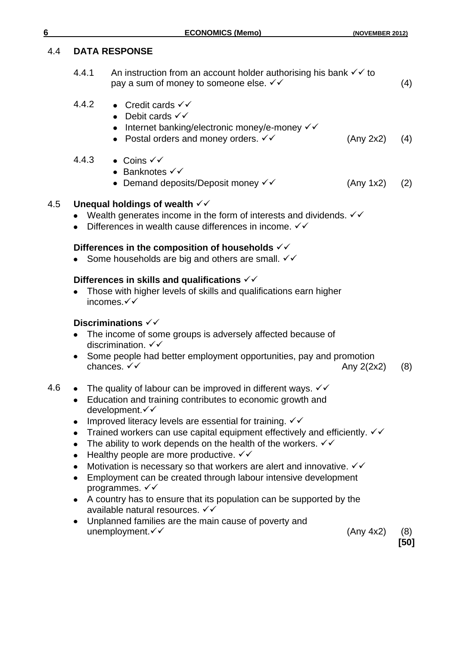#### 4.4 **DATA RESPONSE**

| 4.4.1 | An instruction from an account holder authorising his bank $\checkmark\checkmark$ to |     |
|-------|--------------------------------------------------------------------------------------|-----|
|       | pay a sum of money to someone else. $\checkmark\checkmark$                           | (4) |

- 4.4.2 Credit cards  $\checkmark\checkmark$ 
	- Debit cards  $\checkmark\checkmark$
	- $\bullet$  Internet banking/electronic money/e-money  $\checkmark$
	- Postal orders and money orders.  $\checkmark\checkmark$  (Any 2x2) (4)
- 4.4.3 Coins <del>√ ✓</del>
	- $\bullet$  Banknotes  $\checkmark\checkmark$
	- Demand deposits/Deposit money  $\checkmark$  (Any 1x2) (2)

#### 4.5 **Unequal holdings of wealth**

- Wealth generates income in the form of interests and dividends.  $\checkmark\checkmark$
- Differences in wealth cause differences in income. √√

#### **Differences in the composition of households**

• Some households are big and others are small.  $\checkmark\checkmark$ 

#### **Differences in skills and qualifications**

Those with higher levels of skills and qualifications earn higher incomes.

#### **Discriminations**

- The income of some groups is adversely affected because of discrimination.  $\checkmark\checkmark$
- Some people had better employment opportunities, pay and promotion chances.  $\checkmark\checkmark$  (8)
- 4.6 The quality of labour can be improved in different ways.  $\checkmark\checkmark$ 
	- Education and training contributes to economic growth and development.√√
	- Improved literacy levels are essential for training.  $\checkmark\checkmark$
	- Trained workers can use capital equipment effectively and efficiently.  $\checkmark\checkmark$
	- The ability to work depends on the health of the workers.  $\checkmark\checkmark$
	- $\bullet$  Healthy people are more productive.  $\checkmark\checkmark$
	- Motivation is necessary so that workers are alert and innovative.  $\checkmark\checkmark$
	- Employment can be created through labour intensive development programmes.  $\checkmark\checkmark$
	- A country has to ensure that its population can be supported by the available natural resources. √√
	- Unplanned families are the main cause of poverty and  $unemployment. \checkmark$  (8)

**[50]**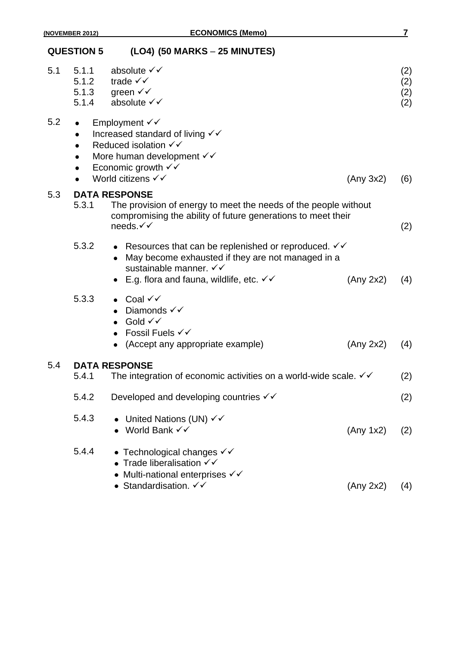|     | <b>QUESTION 5</b>                                                          | (LO4) (50 MARKS - 25 MINUTES)                                                                                                                                                                                           |           |                          |
|-----|----------------------------------------------------------------------------|-------------------------------------------------------------------------------------------------------------------------------------------------------------------------------------------------------------------------|-----------|--------------------------|
| 5.1 | 5.1.1<br>5.1.2                                                             | absolute √√<br>trade $\checkmark\checkmark$<br>5.1.3 green $\checkmark\checkmark$<br>5.1.4 absolute $\checkmark\checkmark$                                                                                              |           | (2)<br>(2)<br>(2)<br>(2) |
| 5.2 | $\bullet$<br>$\bullet$<br>$\bullet$<br>$\bullet$<br>$\bullet$<br>$\bullet$ | Employment $\checkmark$<br>Increased standard of living $\checkmark\checkmark$<br>Reduced isolation $\checkmark\checkmark$<br>More human development √√<br>Economic growth $\checkmark$<br>World citizens √√            | (Any 3x2) | (6)                      |
| 5.3 | 5.3.1                                                                      | <b>DATA RESPONSE</b><br>The provision of energy to meet the needs of the people without<br>compromising the ability of future generations to meet their<br>needs.√√                                                     |           | (2)                      |
|     | 5.3.2                                                                      | • Resources that can be replenished or reproduced. $\checkmark\checkmark$<br>May become exhausted if they are not managed in a<br>sustainable manner. √√<br>E.g. flora and fauna, wildlife, etc. $\checkmark\checkmark$ | (Any 2x2) | (4)                      |
|     | 5.3.3                                                                      | Coal √√<br>Diamonds $\checkmark\checkmark$<br>Gold √√<br>Fossil Fuels √√<br>$\bullet$<br>• (Accept any appropriate example)                                                                                             | (Any 2x2) | (4)                      |
| 5.4 | 5.4.1                                                                      | <b>DATA RESPONSE</b><br>The integration of economic activities on a world-wide scale. $\checkmark\checkmark$                                                                                                            |           | (2)                      |
|     | 5.4.2                                                                      | Developed and developing countries $\checkmark\checkmark$                                                                                                                                                               |           | (2)                      |
|     | 5.4.3                                                                      | United Nations (UN) √√<br>World Bank √√                                                                                                                                                                                 | (Any 1x2) | (2)                      |
|     | 5.4.4                                                                      | • Technological changes $\checkmark\checkmark$<br>• Trade liberalisation $\checkmark\checkmark$<br>• Multi-national enterprises $\checkmark\checkmark$<br>• Standardisation. $\checkmark\checkmark$                     | (Any 2x2) | (4)                      |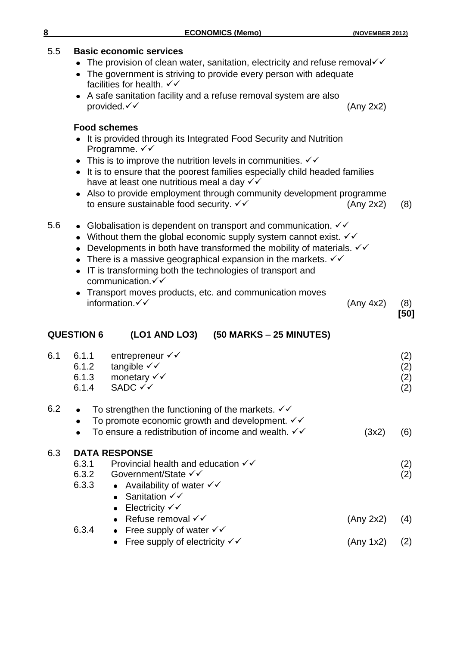#### 5.5 **Basic economic services**

- The provision of clean water, sanitation, electricity and refuse removal  $\checkmark$
- The government is striving to provide every person with adequate facilities for health.  $\checkmark\checkmark$
- A safe sanitation facility and a refuse removal system are also  $provided. < \sqrt$  (Any 2x2)

#### **Food schemes**

- It is provided through its Integrated Food Security and Nutrition Programme. √√
- This is to improve the nutrition levels in communities.  $\checkmark\checkmark$
- It is to ensure that the poorest families especially child headed families have at least one nutritious meal a day  $\checkmark\checkmark$
- Also to provide employment through community development programme to ensure sustainable food security.  $\checkmark\checkmark$  (Any 2x2) (8)

| 5.6 |  |  | • Globalisation is dependent on transport and communication. $\checkmark\checkmark$ |  |
|-----|--|--|-------------------------------------------------------------------------------------|--|
|     |  |  |                                                                                     |  |

- Without them the global economic supply system cannot exist.  $\checkmark\checkmark$
- Developments in both have transformed the mobility of materials.  $\checkmark\checkmark$
- There is a massive geographical expansion in the markets.  $\checkmark\checkmark$
- IT is transforming both the technologies of transport and communication.
- Transport moves products, etc. and communication moves  $information.\checkmark$  (8) (8)

**[50]**

#### **QUESTION 6 (LO1 AND LO3) (50 MARKS** – **25 MINUTES)**

| 6.1 | 6.1.1<br>6.1.2<br>6.1.3<br>6.1.4 | entrepreneur √√<br>tangible $\checkmark\checkmark$<br>monetary $\checkmark\checkmark$<br>SADC √√                                           |           | (2)<br>(2)<br>(2)<br>(2) |
|-----|----------------------------------|--------------------------------------------------------------------------------------------------------------------------------------------|-----------|--------------------------|
| 6.2 |                                  | To strengthen the functioning of the markets. $\checkmark\checkmark$<br>To promote economic growth and development. $\checkmark\checkmark$ |           |                          |
|     | $\bullet$                        | To ensure a redistribution of income and wealth. $\checkmark\checkmark$                                                                    | (3x2)     | (6)                      |
| 6.3 |                                  | <b>DATA RESPONSE</b>                                                                                                                       |           |                          |
|     | 6.3.1                            | Provincial health and education $\checkmark\checkmark$                                                                                     |           | (2)                      |
|     | 6.3.2                            | Government/State √√                                                                                                                        |           | (2)                      |
|     | 6.3.3                            | • Availability of water $\checkmark\checkmark$                                                                                             |           |                          |
|     |                                  | • Sanitation $\checkmark\checkmark$                                                                                                        |           |                          |
|     |                                  | Electricity $\checkmark$<br>$\bullet$                                                                                                      |           |                          |
|     |                                  | • Refuse removal $\checkmark$                                                                                                              | (Any 2x2) | (4)                      |
|     | 6.3.4                            | • Free supply of water $\checkmark\checkmark$                                                                                              |           |                          |
|     |                                  | • Free supply of electricity $\checkmark\checkmark$                                                                                        | (Any 1x2) | (2)                      |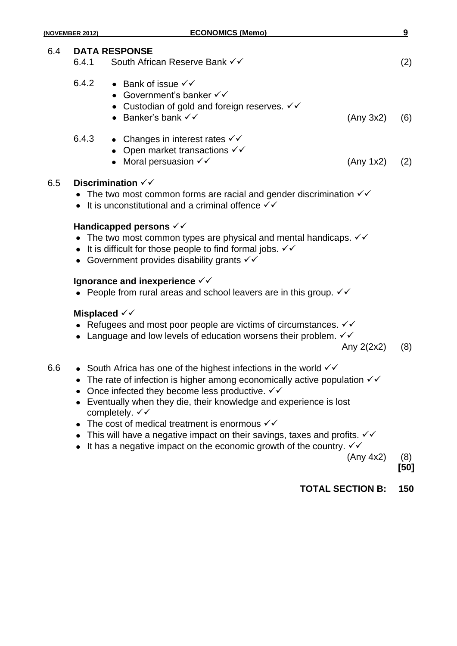|     | (NOVEMBER 2012)                  | <b>ECONOMICS (Memo)</b>                                                                                                                                                                                                                                                                                                                                |              | 9           |
|-----|----------------------------------|--------------------------------------------------------------------------------------------------------------------------------------------------------------------------------------------------------------------------------------------------------------------------------------------------------------------------------------------------------|--------------|-------------|
| 6.4 | 6.4.1                            | <b>DATA RESPONSE</b><br>South African Reserve Bank √√                                                                                                                                                                                                                                                                                                  |              | (2)         |
|     | 6.4.2                            | • Bank of issue $\checkmark\checkmark$<br>• Government's banker $\checkmark\checkmark$<br>• Custodian of gold and foreign reserves. $\checkmark\checkmark$<br>• Banker's bank $\checkmark\checkmark$                                                                                                                                                   | (Any 3x2)    | (6)         |
|     | 6.4.3                            | • Changes in interest rates $\checkmark\checkmark$<br>• Open market transactions $\checkmark\checkmark$<br>• Moral persuasion $\checkmark\checkmark$                                                                                                                                                                                                   | (Any 1x2)    | (2)         |
| 6.5 |                                  | Discrimination $\checkmark\checkmark$<br>• The two most common forms are racial and gender discrimination $\checkmark\checkmark$<br>• It is unconstitutional and a criminal offence $\checkmark\checkmark$                                                                                                                                             |              |             |
|     |                                  | Handicapped persons $\checkmark\checkmark$<br>• The two most common types are physical and mental handicaps. $\checkmark\checkmark$<br>It is difficult for those people to find formal jobs. $\checkmark\checkmark$<br>• Government provides disability grants $\checkmark\checkmark$                                                                  |              |             |
|     |                                  | Ignorance and inexperience $\checkmark\checkmark$<br>• People from rural areas and school leavers are in this group. $\checkmark\checkmark$                                                                                                                                                                                                            |              |             |
|     | Misplaced $\checkmark\checkmark$ | • Refugees and most poor people are victims of circumstances. $\checkmark\checkmark$<br>• Language and low levels of education worsens their problem. $\checkmark\checkmark$                                                                                                                                                                           | Any $2(2x2)$ | (8)         |
| 6.6 | ٠                                | South Africa has one of the highest infections in the world $\checkmark$<br>The rate of infection is higher among economically active population $\checkmark\checkmark$<br>Once infected they become less productive. $\checkmark\checkmark$<br>Eventually when they die, their knowledge and experience is lost<br>completely. $\checkmark\checkmark$ |              |             |
|     |                                  | The cost of medical treatment is enormous $\checkmark\checkmark$<br>This will have a negative impact on their savings, taxes and profits. $\checkmark\checkmark$<br>It has a negative impact on the economic growth of the country. $\checkmark\checkmark$                                                                                             | (Any 4x2)    | (8)<br>[50] |
|     |                                  |                                                                                                                                                                                                                                                                                                                                                        |              |             |

**TOTAL SECTION B: 150**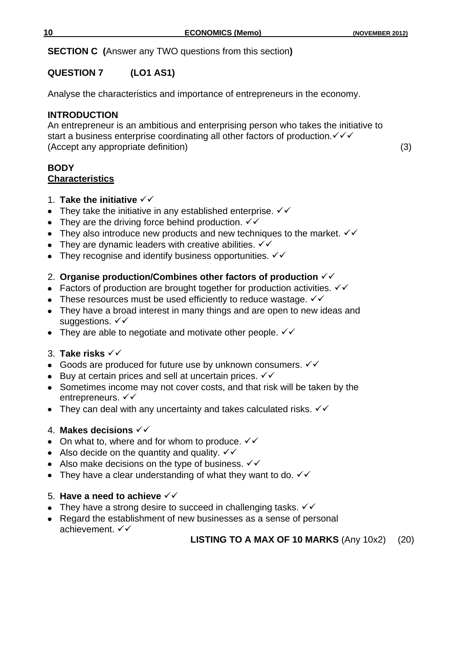**SECTION C (**Answer any TWO questions from this section**)**

# **QUESTION 7 (LO1 AS1)**

Analyse the characteristics and importance of entrepreneurs in the economy.

## **INTRODUCTION**

An entrepreneur is an ambitious and enterprising person who takes the initiative to start a business enterprise coordinating all other factors of production.  $\checkmark\checkmark$ (Accept any appropriate definition) (3)

#### **BODY Characteristics**

## 1. **Take the initiative**

- They take the initiative in any established enterprise.  $\checkmark\checkmark$
- They are the driving force behind production.  $\checkmark\checkmark$
- They also introduce new products and new techniques to the market.  $\checkmark\checkmark$
- They are dynamic leaders with creative abilities.  $\checkmark\checkmark$
- They recognise and identify business opportunities.  $\checkmark\checkmark$

## 2. **Organise production/Combines other factors of production**

- Factors of production are brought together for production activities.  $\checkmark\checkmark$
- These resources must be used efficiently to reduce wastage.  $\checkmark\checkmark$
- They have a broad interest in many things and are open to new ideas and suggestions.  $\checkmark\checkmark$
- They are able to negotiate and motivate other people.  $\checkmark\checkmark$

## 3. **Take risks**

- Goods are produced for future use by unknown consumers.  $\checkmark\checkmark$
- $\bullet$  Buy at certain prices and sell at uncertain prices.  $\checkmark\checkmark$
- Sometimes income may not cover costs, and that risk will be taken by the entrepreneurs.  $\checkmark\checkmark$
- They can deal with any uncertainty and takes calculated risks.  $\checkmark\checkmark$

## 4. **Makes decisions**

- On what to, where and for whom to produce.  $\checkmark\checkmark$
- Also decide on the quantity and quality.  $\checkmark\checkmark$
- Also make decisions on the type of business.  $\checkmark\checkmark$
- They have a clear understanding of what they want to do.  $\checkmark\checkmark$

## 5. **Have a need to achieve**

- They have a strong desire to succeed in challenging tasks.  $\checkmark\checkmark$
- Regard the establishment of new businesses as a sense of personal  $\bullet$ achievement.  $\checkmark\checkmark$

## **LISTING TO A MAX OF 10 MARKS** (Any 10x2) (20)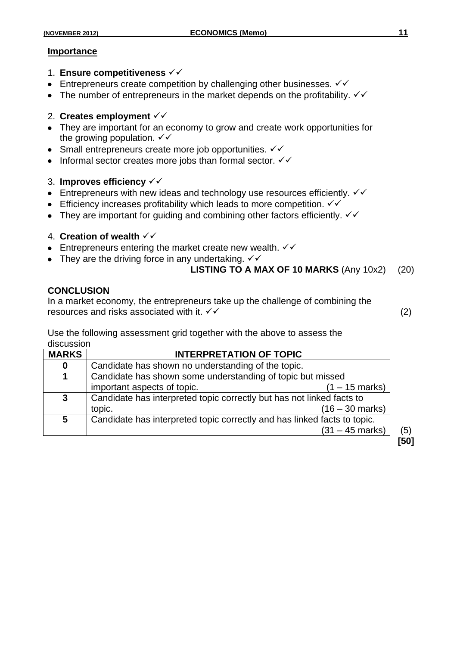#### **Importance**

- 1. **Ensure competitiveness**
- **Entrepreneurs create competition by challenging other businesses.**  $\checkmark\checkmark$
- The number of entrepreneurs in the market depends on the profitability.  $\checkmark\checkmark$

#### 2. **Creates employment**

- They are important for an economy to grow and create work opportunities for the growing population.  $\checkmark\checkmark$
- Small entrepreneurs create more job opportunities.  $\checkmark\checkmark$
- Informal sector creates more jobs than formal sector.  $\checkmark\checkmark$

#### 3. **Improves efficiency**

- Entrepreneurs with new ideas and technology use resources efficiently.  $\checkmark\checkmark$
- **Efficiency increases profitability which leads to more competition.**  $\checkmark\checkmark$
- They are important for guiding and combining other factors efficiently.  $\checkmark\checkmark$

## 4. **Creation of wealth**

- **Entrepreneurs entering the market create new wealth.**  $\checkmark\checkmark$
- They are the driving force in any undertaking.  $\checkmark\checkmark$

## **LISTING TO A MAX OF 10 MARKS** (Any 10x2) (20)

## **CONCLUSION**

In a market economy, the entrepreneurs take up the challenge of combining the resources and risks associated with it.  $\checkmark$   $\checkmark$  (2)

Use the following assessment grid together with the above to assess the discussion

| <b>MARKS</b> | <b>INTERPRETATION OF TOPIC</b>                                           |      |
|--------------|--------------------------------------------------------------------------|------|
| $\bf{0}$     | Candidate has shown no understanding of the topic.                       |      |
|              | Candidate has shown some understanding of topic but missed               |      |
|              | important aspects of topic.<br>(1 – 15 marks)                            |      |
| 3            | Candidate has interpreted topic correctly but has not linked facts to    |      |
|              | $(16 - 30 \text{ marks})$<br>topic.                                      |      |
| 5            | Candidate has interpreted topic correctly and has linked facts to topic. |      |
|              | $(31 - 45$ marks)                                                        | (5)  |
|              |                                                                          | [50] |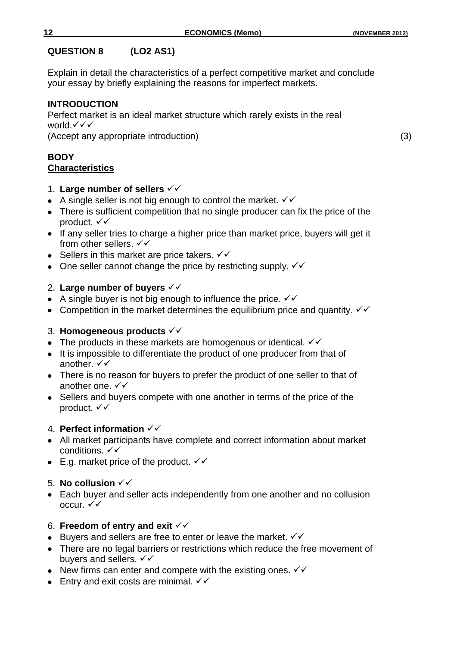## **QUESTION 8 (LO2 AS1)**

Explain in detail the characteristics of a perfect competitive market and conclude your essay by briefly explaining the reasons for imperfect markets.

# **INTRODUCTION**

Perfect market is an ideal market structure which rarely exists in the real world.  $\checkmark\checkmark$ 

(Accept any appropriate introduction) (3)

#### **BODY Characteristics**

- 1. **Large number of sellers**
- A single seller is not big enough to control the market.  $\checkmark\checkmark$
- There is sufficient competition that no single producer can fix the price of the product. √ ✓
- If any seller tries to charge a higher price than market price, buyers will get it from other sellers.  $\checkmark\checkmark$
- Sellers in this market are price takers.  $\checkmark\checkmark$
- One seller cannot change the price by restricting supply.  $\checkmark\checkmark$

# 2. **Large number of buyers**

- A single buyer is not big enough to influence the price.  $\checkmark\checkmark$
- Competition in the market determines the equilibrium price and quantity.  $\checkmark\checkmark$

# 3. **Homogeneous products**

- The products in these markets are homogenous or identical.  $\checkmark\checkmark$
- It is impossible to differentiate the product of one producer from that of another.  $\checkmark\checkmark$
- There is no reason for buyers to prefer the product of one seller to that of another one.  $\checkmark\checkmark$
- Sellers and buyers compete with one another in terms of the price of the product.  $\checkmark\checkmark$

# 4. **Perfect information**

- All market participants have complete and correct information about market conditions.  $\checkmark\checkmark$
- E.g. market price of the product.  $\checkmark\checkmark$

# 5. **No collusion**

Each buyer and seller acts independently from one another and no collusion occur.  $\checkmark\checkmark$ 

# 6. **Freedom of entry and exit**

- Euvers and sellers are free to enter or leave the market.  $\checkmark\checkmark$
- There are no legal barriers or restrictions which reduce the free movement of buvers and sellers.  $\checkmark\checkmark$
- New firms can enter and compete with the existing ones.  $\checkmark\checkmark$
- **Entry and exit costs are minimal.**  $\checkmark\checkmark$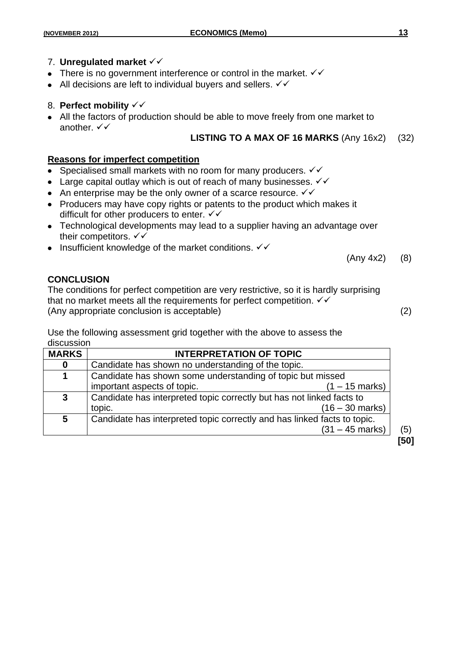- There is no government interference or control in the market.  $\checkmark\checkmark$
- All decisions are left to individual buyers and sellers.  $\checkmark\checkmark$

## 8. **Perfect mobility**

All the factors of production should be able to move freely from one market to another.  $\checkmark\checkmark$ 

## **LISTING TO A MAX OF 16 MARKS** (Any 16x2) (32)

#### **Reasons for imperfect competition**

- Specialised small markets with no room for many producers.  $\checkmark\checkmark$  $\bullet$
- Large capital outlay which is out of reach of many businesses.  $\checkmark\checkmark$
- An enterprise may be the only owner of a scarce resource.  $\checkmark\checkmark$
- Producers may have copy rights or patents to the product which makes it difficult for other producers to enter.  $\checkmark\checkmark$
- Technological developments may lead to a supplier having an advantage over their competitors.  $\checkmark\checkmark$
- Insufficient knowledge of the market conditions.  $\checkmark\checkmark$

(Any 4x2) (8)

## **CONCLUSION**

The conditions for perfect competition are very restrictive, so it is hardly surprising that no market meets all the requirements for perfect competition.  $\checkmark\checkmark$ (Any appropriate conclusion is acceptable) (2)

Use the following assessment grid together with the above to assess the discussion

| <b>MARKS</b> | <b>INTERPRETATION OF TOPIC</b>                                           |      |
|--------------|--------------------------------------------------------------------------|------|
| $\bf{0}$     | Candidate has shown no understanding of the topic.                       |      |
| 1            | Candidate has shown some understanding of topic but missed               |      |
|              | important aspects of topic.<br>$(1 - 15 \text{ marks})$                  |      |
| 3            | Candidate has interpreted topic correctly but has not linked facts to    |      |
|              | $(16 - 30 \text{ marks})$<br>topic.                                      |      |
| 5            | Candidate has interpreted topic correctly and has linked facts to topic. |      |
|              | $(31 - 45$ marks)                                                        | (5)  |
|              |                                                                          | [50] |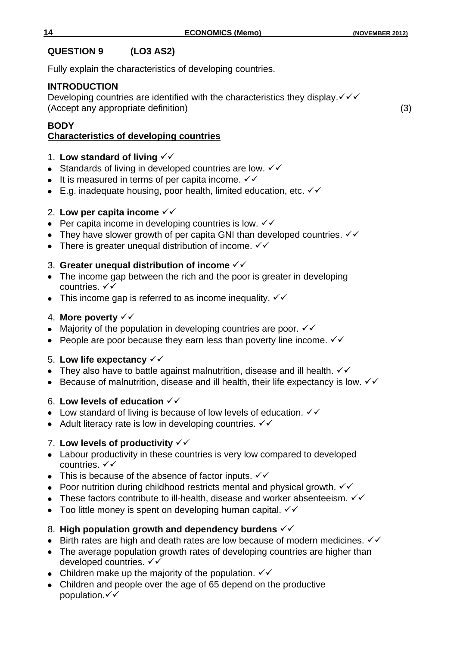## **QUESTION 9 (LO3 AS2)**

Fully explain the characteristics of developing countries.

## **INTRODUCTION**

Developing countries are identified with the characteristics they display. $\checkmark\checkmark$ (Accept any appropriate definition) (3)

#### **BODY Characteristics of developing countries**

## 1. **Low standard of living**

- Standards of living in developed countries are low.  $\checkmark\checkmark$
- $\bullet$  It is measured in terms of per capita income.  $\checkmark\checkmark$
- E.g. inadequate housing, poor health, limited education, etc.  $\checkmark\checkmark$

## 2. **Low per capita income**

- Per capita income in developing countries is low.  $\checkmark\checkmark$
- They have slower growth of per capita GNI than developed countries.  $\checkmark\checkmark$
- There is greater unequal distribution of income.  $\checkmark\checkmark$

## 3. **Greater unequal distribution of income**

- The income gap between the rich and the poor is greater in developing countries. √√
- This income gap is referred to as income inequality.  $\checkmark\checkmark$

## 4. **More poverty**

- Majority of the population in developing countries are poor.  $\checkmark\checkmark$
- People are poor because they earn less than poverty line income.  $\checkmark\checkmark$

## 5. **Low life expectancy**

- They also have to battle against malnutrition, disease and ill health.  $\checkmark\checkmark$
- Because of malnutrition, disease and ill health, their life expectancy is low.  $\checkmark\checkmark$  $\bullet$

#### 6. **Low levels of education**

- Low standard of living is because of low levels of education.  $\checkmark\checkmark$
- Adult literacy rate is low in developing countries.  $\checkmark\checkmark$

## 7. **Low levels of productivity**

- Labour productivity in these countries is very low compared to developed countries.  $\checkmark\checkmark$
- This is because of the absence of factor inputs.  $\checkmark\checkmark$
- Poor nutrition during childhood restricts mental and physical growth.  $\checkmark\checkmark$
- These factors contribute to ill-health, disease and worker absenteeism.  $\checkmark\checkmark$
- Too little money is spent on developing human capital.  $\checkmark\checkmark$

## 8. **High population growth and dependency burdens**

- Eirth rates are high and death rates are low because of modern medicines.  $\checkmark\checkmark$
- The average population growth rates of developing countries are higher than developed countries. √√
- Children make up the majority of the population.  $\checkmark\checkmark$
- Children and people over the age of 65 depend on the productive population. $\checkmark\checkmark$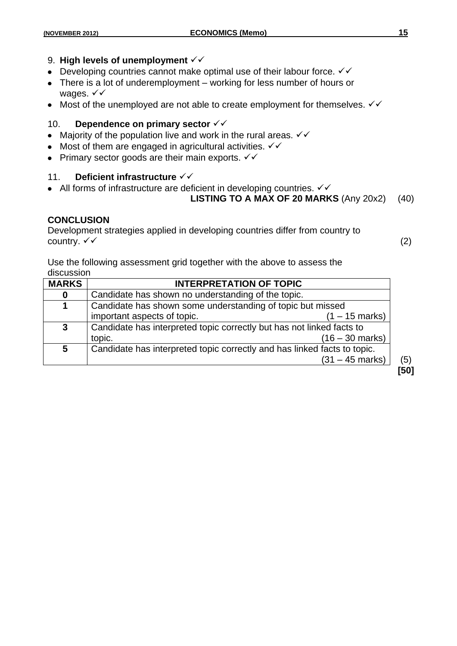#### 9. High levels of unemployment  $\checkmark\checkmark$

- Developing countries cannot make optimal use of their labour force.  $\checkmark\checkmark$
- There is a lot of underemployment working for less number of hours or wages.  $\checkmark\checkmark$
- Most of the unemployed are not able to create employment for themselves.  $\checkmark\checkmark$

#### 10. **Dependence on primary sector**

- Majority of the population live and work in the rural areas.  $\checkmark\checkmark$
- Most of them are engaged in agricultural activities.  $\checkmark\checkmark$
- Primary sector goods are their main exports.  $\checkmark\checkmark$

#### 11. **Deficient infrastructure**

• All forms of infrastructure are deficient in developing countries.  $\checkmark\checkmark$ 

#### **LISTING TO A MAX OF 20 MARKS** (Any 20x2) (40)

#### **CONCLUSION**

Development strategies applied in developing countries differ from country to country.  $\checkmark$  (2)

Use the following assessment grid together with the above to assess the discussion

| <b>MARKS</b>            | <b>INTERPRETATION OF TOPIC</b>                                           |      |
|-------------------------|--------------------------------------------------------------------------|------|
| $\bf{0}$                | Candidate has shown no understanding of the topic.                       |      |
| 1                       | Candidate has shown some understanding of topic but missed               |      |
|                         | important aspects of topic.<br>(1 – 15 marks)                            |      |
| 3                       | Candidate has interpreted topic correctly but has not linked facts to    |      |
|                         | $(16 - 30 \text{ marks})$<br>topic.                                      |      |
| $\overline{\mathbf{5}}$ | Candidate has interpreted topic correctly and has linked facts to topic. |      |
|                         | $(31 - 45$ marks)                                                        | (5)  |
|                         |                                                                          | [50] |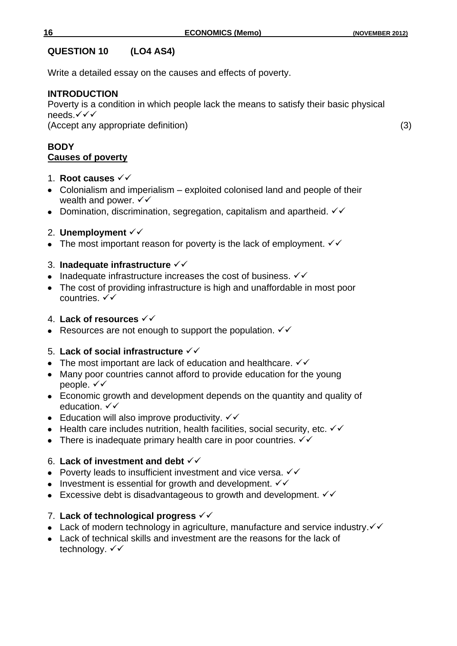## **QUESTION 10 (LO4 AS4)**

Write a detailed essay on the causes and effects of poverty.

## **INTRODUCTION**

Poverty is a condition in which people lack the means to satisfy their basic physical needs.√√√

(Accept any appropriate definition) (3)

## **BODY Causes of poverty**

- 1. **Root causes**
- Colonialism and imperialism exploited colonised land and people of their wealth and power.  $\checkmark\checkmark$
- Domination, discrimination, segregation, capitalism and apartheid.  $\checkmark\checkmark$
- 2. **Unemployment**  $\checkmark\checkmark$
- The most important reason for poverty is the lack of employment.  $\checkmark\checkmark$

## 3. **Inadequate infrastructure**

- Inadequate infrastructure increases the cost of business.  $\checkmark\checkmark$
- The cost of providing infrastructure is high and unaffordable in most poor countries.  $\checkmark\checkmark$

## 4. **Lack of resources**

• Resources are not enough to support the population.  $\checkmark\checkmark$ 

# 5. **Lack of social infrastructure**

- The most important are lack of education and healthcare.  $\checkmark\checkmark$
- Many poor countries cannot afford to provide education for the young people.  $\checkmark\checkmark$
- Economic growth and development depends on the quantity and quality of education.  $\checkmark\checkmark$
- Education will also improve productivity.  $\checkmark\checkmark$
- Health care includes nutrition, health facilities, social security, etc.  $\checkmark\checkmark$
- There is inadequate primary health care in poor countries.  $\checkmark\checkmark$

# 6. **Lack of investment and debt**

- Poverty leads to insufficient investment and vice versa.  $\checkmark\checkmark$
- Investment is essential for growth and development.  $\checkmark\checkmark$
- Excessive debt is disadvantageous to growth and development.  $\checkmark\checkmark$

# 7. **Lack of technological progress**

- Lack of modern technology in agriculture, manufacture and service industry. $\checkmark\checkmark$
- Lack of technical skills and investment are the reasons for the lack of technology. √ ✓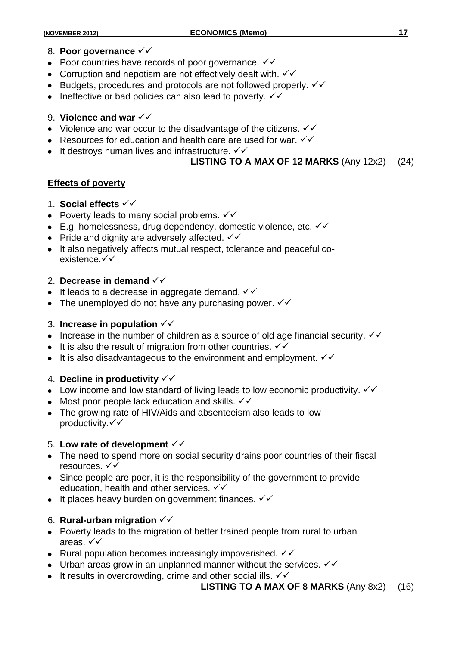#### 8. **Poor governance**

- Poor countries have records of poor governance.  $\checkmark\checkmark$
- Corruption and nepotism are not effectively dealt with.  $\checkmark\checkmark$
- $\bullet$  Budgets, procedures and protocols are not followed properly.  $\checkmark\checkmark$
- Ineffective or bad policies can also lead to poverty.  $\checkmark\checkmark$

## 9. **Violence and war**

- Violence and war occur to the disadvantage of the citizens.  $\checkmark\checkmark$
- Resources for education and health care are used for war.  $\checkmark\checkmark$
- $\bullet$  It destroys human lives and infrastructure.  $\checkmark\checkmark$

## **LISTING TO A MAX OF 12 MARKS** (Any 12x2) (24)

## **Effects of poverty**

- 1. **Social effects**
- Poverty leads to many social problems.  $\checkmark\checkmark$
- E.g. homelessness, drug dependency, domestic violence, etc.  $\checkmark\checkmark$
- Pride and dignity are adversely affected.  $\checkmark\checkmark$
- It also negatively affects mutual respect, tolerance and peaceful coexistence.√√

## 2. **Decrease in demand**

- $\bullet$  It leads to a decrease in aggregate demand.  $\checkmark\checkmark$
- The unemployed do not have any purchasing power.  $\checkmark\checkmark$

#### 3. **Increase in population**

- Increase in the number of children as a source of old age financial security.  $\checkmark\checkmark$
- It is also the result of migration from other countries.  $\checkmark\checkmark$
- It is also disadvantageous to the environment and employment.  $\checkmark\checkmark$

#### 4. **Decline in productivity**

- Low income and low standard of living leads to low economic productivity.  $\checkmark\checkmark$
- Most poor people lack education and skills.  $\checkmark\checkmark$
- The growing rate of HIV/Aids and absenteeism also leads to low productivity. $\checkmark\checkmark$

#### 5. **Low rate of development**

- The need to spend more on social security drains poor countries of their fiscal resources. √√
- Since people are poor, it is the responsibility of the government to provide education, health and other services.  $\checkmark\checkmark$
- $\bullet$  It places heavy burden on government finances.  $\checkmark\checkmark$

## 6. **Rural-urban migration**

- Poverty leads to the migration of better trained people from rural to urban areas.  $\checkmark\checkmark$
- Rural population becomes increasingly impoverished.  $\checkmark\checkmark$
- Urban areas grow in an unplanned manner without the services.  $\checkmark\checkmark$
- It results in overcrowding, crime and other social ills.  $\checkmark\checkmark$

#### **LISTING TO A MAX OF 8 MARKS** (Any 8x2) (16)